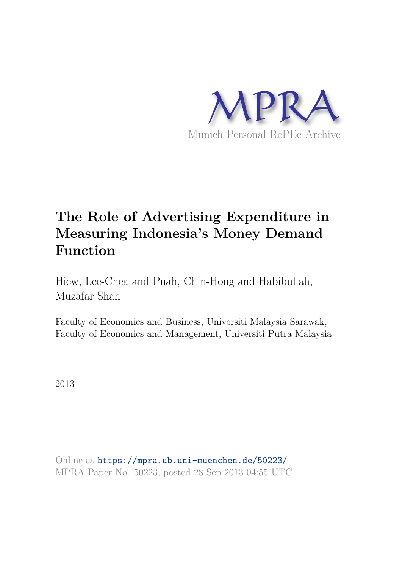

# **The Role of Advertising Expenditure in Measuring Indonesia's Money Demand Function**

Hiew, Lee-Chea and Puah, Chin-Hong and Habibullah, Muzafar Shah

Faculty of Economics and Business, Universiti Malaysia Sarawak, Faculty of Economics and Management, Universiti Putra Malaysia

2013

Online at https://mpra.ub.uni-muenchen.de/50223/ MPRA Paper No. 50223, posted 28 Sep 2013 04:55 UTC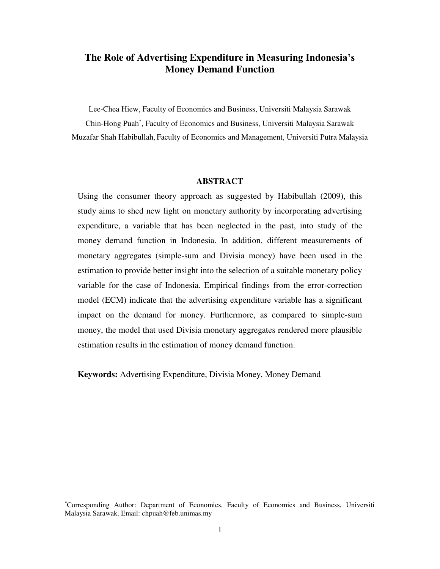# **The Role of Advertising Expenditure in Measuring Indonesia's Money Demand Function**

Lee-Chea Hiew, Faculty of Economics and Business, Universiti Malaysia Sarawak

Chin-Hong Puah , Faculty of Economics and Business, Universiti Malaysia Sarawak Muzafar Shah Habibullah, Faculty of Economics and Management, Universiti Putra Malaysia

#### **ABSTRACT**

Using the consumer theory approach as suggested by Habibullah (2009), this study aims to shed new light on monetary authority by incorporating advertising expenditure, a variable that has been neglected in the past, into study of the money demand function in Indonesia. In addition, different measurements of monetary aggregates (simple-sum and Divisia money) have been used in the estimation to provide better insight into the selection of a suitable monetary policy variable for the case of Indonesia. Empirical findings from the error-correction model (ECM) indicate that the advertising expenditure variable has a significant impact on the demand for money. Furthermore, as compared to simple-sum money, the model that used Divisia monetary aggregates rendered more plausible estimation results in the estimation of money demand function.

**Keywords:** Advertising Expenditure, Divisia Money, Money Demand

Corresponding Author: Department of Economics, Faculty of Economics and Business, Universiti Malaysia Sarawak. Email: chpuah@feb.unimas.my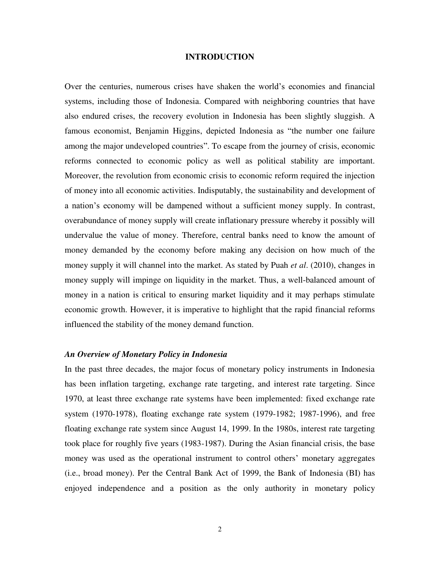## **INTRODUCTION**

Over the centuries, numerous crises have shaken the world's economies and financial systems, including those of Indonesia. Compared with neighboring countries that have also endured crises, the recovery evolution in Indonesia has been slightly sluggish. A famous economist, Benjamin Higgins, depicted Indonesia as "the number one failure among the major undeveloped countries". To escape from the journey of crisis, economic reforms connected to economic policy as well as political stability are important. Moreover, the revolution from economic crisis to economic reform required the injection of money into all economic activities. Indisputably, the sustainability and development of a nation's economy will be dampened without a sufficient money supply. In contrast, overabundance of money supply will create inflationary pressure whereby it possibly will undervalue the value of money. Therefore, central banks need to know the amount of money demanded by the economy before making any decision on how much of the money supply it will channel into the market. As stated by Puah *et al*. (2010), changes in money supply will impinge on liquidity in the market. Thus, a well-balanced amount of money in a nation is critical to ensuring market liquidity and it may perhaps stimulate economic growth. However, it is imperative to highlight that the rapid financial reforms influenced the stability of the money demand function.

# *An Overview of Monetary Policy in Indonesia*

In the past three decades, the major focus of monetary policy instruments in Indonesia has been inflation targeting, exchange rate targeting, and interest rate targeting. Since 1970, at least three exchange rate systems have been implemented: fixed exchange rate system (1970-1978), floating exchange rate system (1979-1982; 1987-1996), and free floating exchange rate system since August 14, 1999. In the 1980s, interest rate targeting took place for roughly five years (1983-1987). During the Asian financial crisis, the base money was used as the operational instrument to control others' monetary aggregates (i.e., broad money). Per the Central Bank Act of 1999, the Bank of Indonesia (BI) has enjoyed independence and a position as the only authority in monetary policy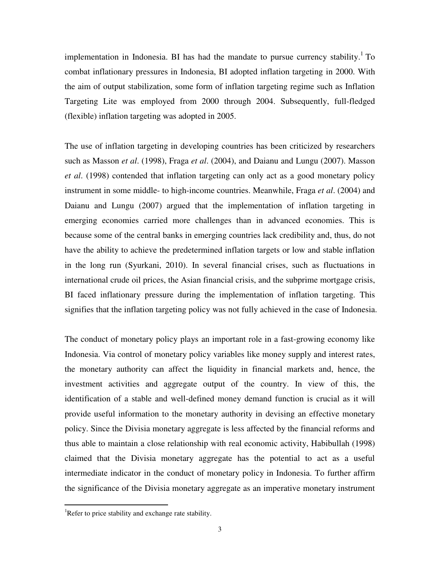implementation in Indonesia. BI has had the mandate to pursue currency stability.<sup>1</sup> To combat inflationary pressures in Indonesia, BI adopted inflation targeting in 2000. With the aim of output stabilization, some form of inflation targeting regime such as Inflation Targeting Lite was employed from 2000 through 2004. Subsequently, full-fledged (flexible) inflation targeting was adopted in 2005.

The use of inflation targeting in developing countries has been criticized by researchers such as Masson *et al*. (1998), Fraga *et al*. (2004), and Daianu and Lungu (2007). Masson *et al*. (1998) contended that inflation targeting can only act as a good monetary policy instrument in some middle- to high-income countries. Meanwhile, Fraga *et al*. (2004) and Daianu and Lungu (2007) argued that the implementation of inflation targeting in emerging economies carried more challenges than in advanced economies. This is because some of the central banks in emerging countries lack credibility and, thus, do not have the ability to achieve the predetermined inflation targets or low and stable inflation in the long run (Syurkani, 2010). In several financial crises, such as fluctuations in international crude oil prices, the Asian financial crisis, and the subprime mortgage crisis, BI faced inflationary pressure during the implementation of inflation targeting. This signifies that the inflation targeting policy was not fully achieved in the case of Indonesia.

The conduct of monetary policy plays an important role in a fast-growing economy like Indonesia. Via control of monetary policy variables like money supply and interest rates, the monetary authority can affect the liquidity in financial markets and, hence, the investment activities and aggregate output of the country. In view of this, the identification of a stable and well-defined money demand function is crucial as it will provide useful information to the monetary authority in devising an effective monetary policy. Since the Divisia monetary aggregate is less affected by the financial reforms and thus able to maintain a close relationship with real economic activity, Habibullah (1998) claimed that the Divisia monetary aggregate has the potential to act as a useful intermediate indicator in the conduct of monetary policy in Indonesia. To further affirm the significance of the Divisia monetary aggregate as an imperative monetary instrument

<sup>&</sup>lt;sup>1</sup>Refer to price stability and exchange rate stability.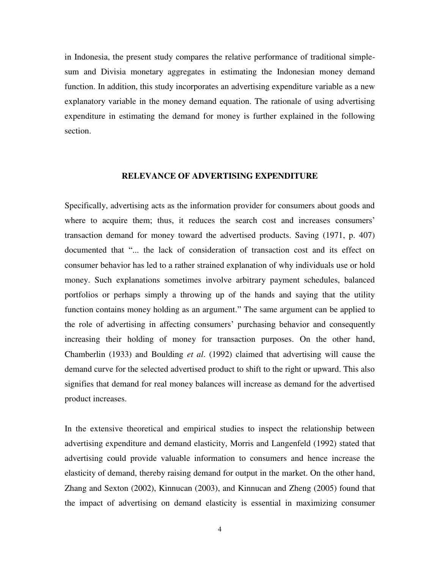in Indonesia, the present study compares the relative performance of traditional simplesum and Divisia monetary aggregates in estimating the Indonesian money demand function. In addition, this study incorporates an advertising expenditure variable as a new explanatory variable in the money demand equation. The rationale of using advertising expenditure in estimating the demand for money is further explained in the following section.

#### **RELEVANCE OF ADVERTISING EXPENDITURE**

Specifically, advertising acts as the information provider for consumers about goods and where to acquire them; thus, it reduces the search cost and increases consumers' transaction demand for money toward the advertised products. Saving (1971, p. 407) documented that "... the lack of consideration of transaction cost and its effect on consumer behavior has led to a rather strained explanation of why individuals use or hold money. Such explanations sometimes involve arbitrary payment schedules, balanced portfolios or perhaps simply a throwing up of the hands and saying that the utility function contains money holding as an argument." The same argument can be applied to the role of advertising in affecting consumers' purchasing behavior and consequently increasing their holding of money for transaction purposes. On the other hand, Chamberlin (1933) and Boulding *et al*. (1992) claimed that advertising will cause the demand curve for the selected advertised product to shift to the right or upward. This also signifies that demand for real money balances will increase as demand for the advertised product increases.

In the extensive theoretical and empirical studies to inspect the relationship between advertising expenditure and demand elasticity, Morris and Langenfeld (1992) stated that advertising could provide valuable information to consumers and hence increase the elasticity of demand, thereby raising demand for output in the market. On the other hand, Zhang and Sexton (2002), Kinnucan (2003), and Kinnucan and Zheng (2005) found that the impact of advertising on demand elasticity is essential in maximizing consumer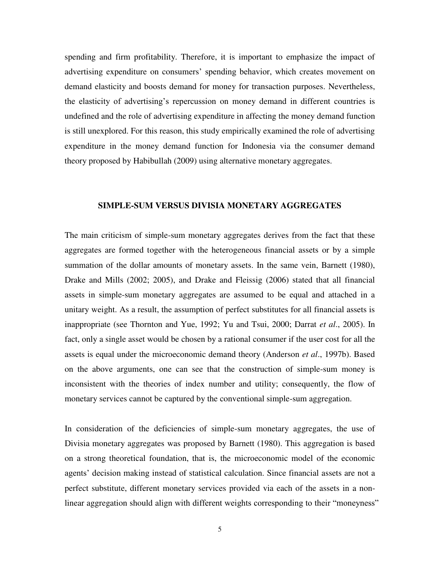spending and firm profitability. Therefore, it is important to emphasize the impact of advertising expenditure on consumers' spending behavior, which creates movement on demand elasticity and boosts demand for money for transaction purposes. Nevertheless, the elasticity of advertising's repercussion on money demand in different countries is undefined and the role of advertising expenditure in affecting the money demand function is still unexplored. For this reason, this study empirically examined the role of advertising expenditure in the money demand function for Indonesia via the consumer demand theory proposed by Habibullah (2009) using alternative monetary aggregates.

#### **SIMPLE-SUM VERSUS DIVISIA MONETARY AGGREGATES**

The main criticism of simple-sum monetary aggregates derives from the fact that these aggregates are formed together with the heterogeneous financial assets or by a simple summation of the dollar amounts of monetary assets. In the same vein, Barnett (1980), Drake and Mills (2002; 2005), and Drake and Fleissig (2006) stated that all financial assets in simple-sum monetary aggregates are assumed to be equal and attached in a unitary weight. As a result, the assumption of perfect substitutes for all financial assets is inappropriate (see Thornton and Yue, 1992; Yu and Tsui, 2000; Darrat *et al*., 2005). In fact, only a single asset would be chosen by a rational consumer if the user cost for all the assets is equal under the microeconomic demand theory (Anderson *et al*., 1997b). Based on the above arguments, one can see that the construction of simple-sum money is inconsistent with the theories of index number and utility; consequently, the flow of monetary services cannot be captured by the conventional simple-sum aggregation.

In consideration of the deficiencies of simple-sum monetary aggregates, the use of Divisia monetary aggregates was proposed by Barnett (1980). This aggregation is based on a strong theoretical foundation, that is, the microeconomic model of the economic agents' decision making instead of statistical calculation. Since financial assets are not a perfect substitute, different monetary services provided via each of the assets in a nonlinear aggregation should align with different weights corresponding to their "moneyness"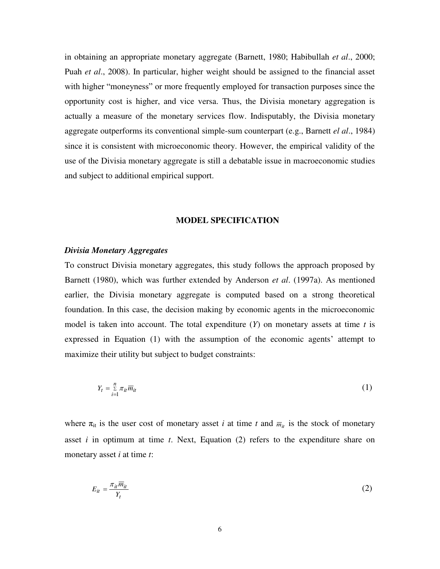in obtaining an appropriate monetary aggregate (Barnett, 1980; Habibullah *et al*., 2000; Puah *et al*., 2008). In particular, higher weight should be assigned to the financial asset with higher "moneyness" or more frequently employed for transaction purposes since the opportunity cost is higher, and vice versa. Thus, the Divisia monetary aggregation is actually a measure of the monetary services flow. Indisputably, the Divisia monetary aggregate outperforms its conventional simple-sum counterpart (e.g., Barnett *el al*., 1984) since it is consistent with microeconomic theory. However, the empirical validity of the use of the Divisia monetary aggregate is still a debatable issue in macroeconomic studies and subject to additional empirical support.

#### **MODEL SPECIFICATION**

## *Divisia Monetary Aggregates*

To construct Divisia monetary aggregates, this study follows the approach proposed by Barnett (1980), which was further extended by Anderson *et al*. (1997a). As mentioned earlier, the Divisia monetary aggregate is computed based on a strong theoretical foundation. In this case, the decision making by economic agents in the microeconomic model is taken into account. The total expenditure  $(Y)$  on monetary assets at time  $t$  is expressed in Equation (1) with the assumption of the economic agents' attempt to maximize their utility but subject to budget constraints:

$$
Y_t = \sum_{i=1}^n \pi_{it} \overline{m}_{it} \tag{1}
$$

where  $\pi_{it}$  is the user cost of monetary asset *i* at time *t* and  $\overline{m}_{it}$  is the stock of monetary asset *i* in optimum at time *t*. Next, Equation (2) refers to the expenditure share on monetary asset *i* at time *t*:

$$
E_{it} = \frac{\pi_{it} \overline{m}_{it}}{Y_t} \tag{2}
$$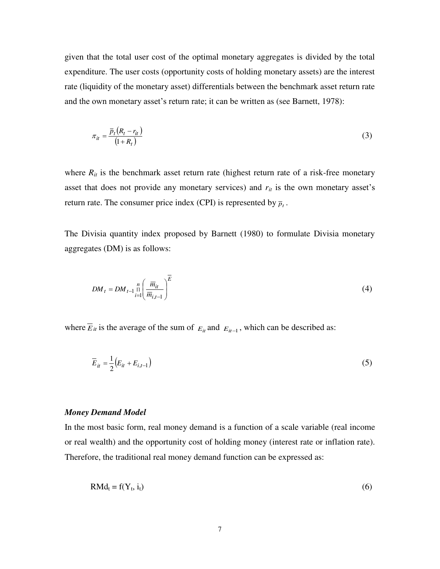given that the total user cost of the optimal monetary aggregates is divided by the total expenditure. The user costs (opportunity costs of holding monetary assets) are the interest rate (liquidity of the monetary asset) differentials between the benchmark asset return rate and the own monetary asset's return rate; it can be written as (see Barnett, 1978):

$$
\pi_{it} = \frac{\overline{p}_t (R_t - r_{it})}{(1 + R_t)}\tag{3}
$$

where  $R_{it}$  is the benchmark asset return rate (highest return rate of a risk-free monetary asset that does not provide any monetary services) and *rit* is the own monetary asset's return rate. The consumer price index (CPI) is represented by  $\bar{p}_t$ .

The Divisia quantity index proposed by Barnett (1980) to formulate Divisia monetary aggregates (DM) is as follows:

$$
DM_t = DM_{t-1} \prod_{i=1}^{n} \left( \frac{\overline{m}_{it}}{\overline{m}_{i,t-1}} \right)^{\overline{E}}
$$
(4)

where  $\overline{E}_{it}$  is the average of the sum of  $E_{it}$  and  $E_{it-1}$ , which can be described as:

$$
\overline{E}_{it} = \frac{1}{2} \left( E_{it} + E_{i,t-1} \right) \tag{5}
$$

#### *Money Demand Model*

In the most basic form, real money demand is a function of a scale variable (real income or real wealth) and the opportunity cost of holding money (interest rate or inflation rate). Therefore, the traditional real money demand function can be expressed as:

$$
RMd_t = f(Y_t, i_t) \tag{6}
$$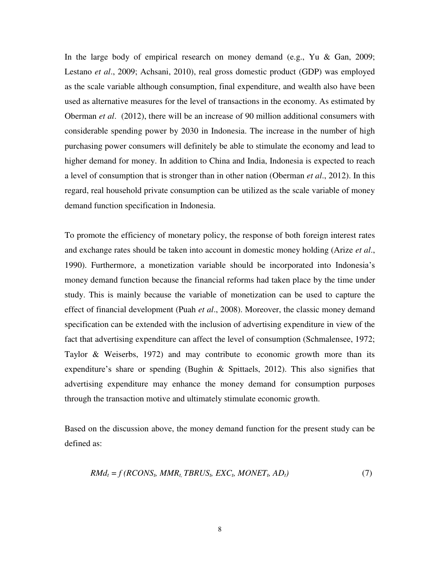In the large body of empirical research on money demand (e.g., Yu & Gan, 2009; Lestano *et al*., 2009; Achsani, 2010), real gross domestic product (GDP) was employed as the scale variable although consumption, final expenditure, and wealth also have been used as alternative measures for the level of transactions in the economy. As estimated by Oberman *et al*. (2012), there will be an increase of 90 million additional consumers with considerable spending power by 2030 in Indonesia. The increase in the number of high purchasing power consumers will definitely be able to stimulate the economy and lead to higher demand for money. In addition to China and India, Indonesia is expected to reach a level of consumption that is stronger than in other nation (Oberman *et al*., 2012). In this regard, real household private consumption can be utilized as the scale variable of money demand function specification in Indonesia.

To promote the efficiency of monetary policy, the response of both foreign interest rates and exchange rates should be taken into account in domestic money holding (Arize *et al*., 1990). Furthermore, a monetization variable should be incorporated into Indonesia's money demand function because the financial reforms had taken place by the time under study. This is mainly because the variable of monetization can be used to capture the effect of financial development (Puah *et al*., 2008). Moreover, the classic money demand specification can be extended with the inclusion of advertising expenditure in view of the fact that advertising expenditure can affect the level of consumption (Schmalensee, 1972; Taylor  $\&$  Weiserbs, 1972) and may contribute to economic growth more than its expenditure's share or spending (Bughin & Spittaels, 2012). This also signifies that advertising expenditure may enhance the money demand for consumption purposes through the transaction motive and ultimately stimulate economic growth.

Based on the discussion above, the money demand function for the present study can be defined as:

$$
RMd_t = f(RCONS_t, MMR_t, TBRUS_t, EXC_t, MONET_t, AD_t)
$$
\n
$$
(7)
$$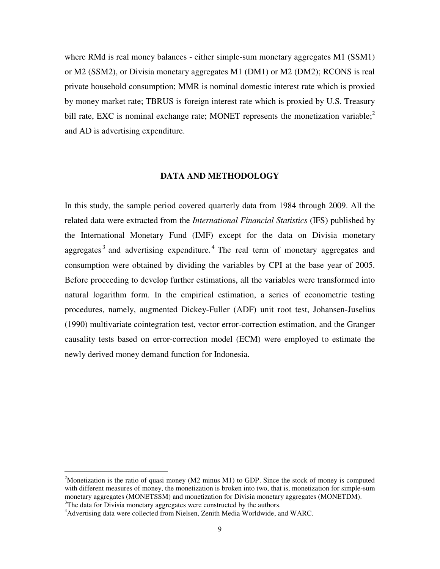where RMd is real money balances - either simple-sum monetary aggregates M1 (SSM1) or M2 (SSM2), or Divisia monetary aggregates M1 (DM1) or M2 (DM2); RCONS is real private household consumption; MMR is nominal domestic interest rate which is proxied by money market rate; TBRUS is foreign interest rate which is proxied by U.S. Treasury bill rate, EXC is nominal exchange rate; MONET represents the monetization variable; $\frac{2}{3}$ and AD is advertising expenditure.

#### **DATA AND METHODOLOGY**

In this study, the sample period covered quarterly data from 1984 through 2009. All the related data were extracted from the *International Financial Statistics* (IFS) published by the International Monetary Fund (IMF) except for the data on Divisia monetary aggregates<sup>3</sup> and advertising expenditure.<sup>4</sup> The real term of monetary aggregates and consumption were obtained by dividing the variables by CPI at the base year of 2005. Before proceeding to develop further estimations, all the variables were transformed into natural logarithm form. In the empirical estimation, a series of econometric testing procedures, namely, augmented Dickey-Fuller (ADF) unit root test, Johansen-Juselius (1990) multivariate cointegration test, vector error-correction estimation, and the Granger causality tests based on error-correction model (ECM) were employed to estimate the newly derived money demand function for Indonesia.

<sup>&</sup>lt;sup>2</sup>Monetization is the ratio of quasi money (M2 minus M1) to GDP. Since the stock of money is computed with different measures of money, the monetization is broken into two, that is, monetization for simple-sum monetary aggregates (MONETSSM) and monetization for Divisia monetary aggregates (MONETDM). <sup>3</sup>The data for Divisia monetary aggregates were constructed by the authors.

<sup>&</sup>lt;sup>4</sup>Advertising data were collected from Nielsen, Zenith Media Worldwide, and WARC.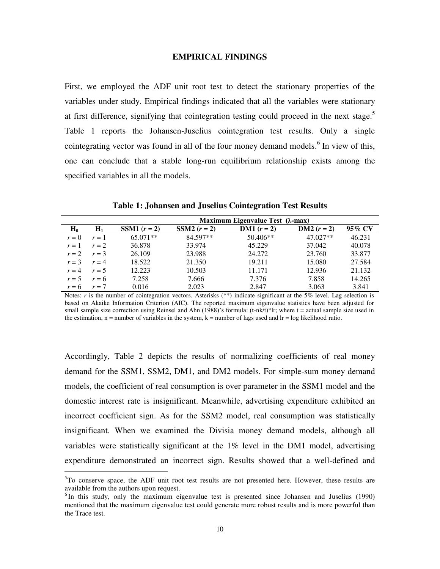#### **EMPIRICAL FINDINGS**

First, we employed the ADF unit root test to detect the stationary properties of the variables under study. Empirical findings indicated that all the variables were stationary at first difference, signifying that cointegration testing could proceed in the next stage.<sup>5</sup> Table 1 reports the Johansen-Juselius cointegration test results. Only a single cointegrating vector was found in all of the four money demand models.<sup>6</sup> In view of this, one can conclude that a stable long-run equilibrium relationship exists among the specified variables in all the models.

|         |         | Maximum Eigenvalue Test $(\lambda$ -max) |                       |                      |               |        |  |  |
|---------|---------|------------------------------------------|-----------------------|----------------------|---------------|--------|--|--|
| $H_0$   | $H_1$   | <b>SSM1</b> $(r = 2)$                    | <b>SSM2</b> $(r = 2)$ | <b>DM1</b> $(r = 2)$ | $DM2 (r = 2)$ | 95% CV |  |  |
| $r=0$   | $r=1$   | 65.071**                                 | 84.597**              | 50.406**             | 47.027**      | 46.231 |  |  |
| $r=1$   | $r=2$   | 36.878                                   | 33.974                | 45.229               | 37.042        | 40.078 |  |  |
| $r=2$   | $r = 3$ | 26.109                                   | 23.988                | 24.272               | 23.760        | 33.877 |  |  |
| $r = 3$ | $r = 4$ | 18.522                                   | 21.350                | 19.211               | 15.080        | 27.584 |  |  |
| $r = 4$ | $r = 5$ | 12.223                                   | 10.503                | 11.171               | 12.936        | 21.132 |  |  |
| $r = 5$ | $r = 6$ | 7.258                                    | 7.666                 | 7.376                | 7.858         | 14.265 |  |  |
| $r = 6$ | $r=7$   | 0.016                                    | 2.023                 | 2.847                | 3.063         | 3.841  |  |  |

**Table 1: Johansen and Juselius Cointegration Test Results** 

Notes: *r* is the number of cointegration vectors. Asterisks (\*\*) indicate significant at the 5% level. Lag selection is based on Akaike Information Criterion (AIC). The reported maximum eigenvalue statistics have been adjusted for small sample size correction using Reinsel and Ahn (1988)'s formula:  $(t-nk/t)*$ lr; where  $t =$  actual sample size used in the estimation,  $n =$  number of variables in the system,  $k =$  number of lags used and  $lr = log$  likelihood ratio.

Accordingly, Table 2 depicts the results of normalizing coefficients of real money demand for the SSM1, SSM2, DM1, and DM2 models. For simple-sum money demand models, the coefficient of real consumption is over parameter in the SSM1 model and the domestic interest rate is insignificant. Meanwhile, advertising expenditure exhibited an incorrect coefficient sign. As for the SSM2 model, real consumption was statistically insignificant. When we examined the Divisia money demand models, although all variables were statistically significant at the 1% level in the DM1 model, advertising expenditure demonstrated an incorrect sign. Results showed that a well-defined and

 $5T$ o conserve space, the ADF unit root test results are not presented here. However, these results are available from the authors upon request.

<sup>&</sup>lt;sup>6</sup>In this study, only the maximum eigenvalue test is presented since Johansen and Juselius (1990) mentioned that the maximum eigenvalue test could generate more robust results and is more powerful than the Trace test.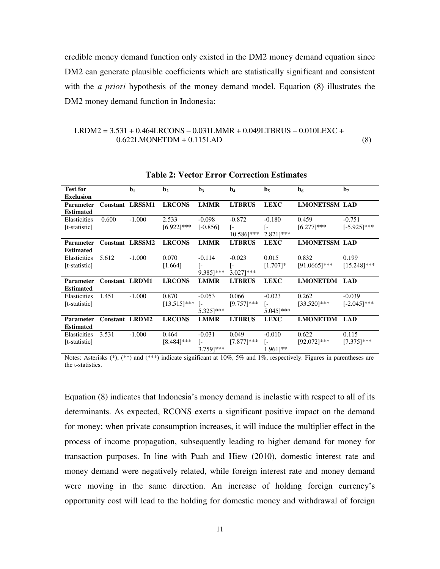credible money demand function only existed in the DM2 money demand equation since DM2 can generate plausible coefficients which are statistically significant and consistent with the *a priori* hypothesis of the money demand model. Equation (8) illustrates the DM2 money demand function in Indonesia:

# LRDM2 = 3.531 + 0.464LRCONS – 0.031LMMR + 0.049LTBRUS – 0.010LEXC + 0.622LMONETDM + 0.115LAD (8)

| <b>Test for</b>  |                       | $\mathbf{b}_1$         | $\mathbf{b}_2$ | $\mathbf{b}_3$ | $\mathbf{b}_4$         | $\mathbf{b}_5$         | $\mathbf{b}_6$       | $\mathbf{b}_7$ |
|------------------|-----------------------|------------------------|----------------|----------------|------------------------|------------------------|----------------------|----------------|
| <b>Exclusion</b> |                       |                        |                |                |                        |                        |                      |                |
| <b>Parameter</b> |                       | <b>Constant LRSSM1</b> | <b>LRCONS</b>  | <b>LMMR</b>    | <b>LTBRUS</b>          | <b>LEXC</b>            | <b>LMONETSSM LAD</b> |                |
| <b>Estimated</b> |                       |                        |                |                |                        |                        |                      |                |
| Elasticities     | 0.600                 | $-1.000$               | 2.533          | $-0.098$       | $-0.872$               | $-0.180$               | 0.459                | $-0.751$       |
| [t-statistic]    |                       |                        | $[6.922]$ ***  | $[-0.856]$     | I-                     | L-                     | $[6.277]$ ***        | $[-5.925]$ *** |
|                  |                       |                        |                |                | $10.586$ ]***          | $2.821$ ]***           |                      |                |
| <b>Parameter</b> |                       | <b>Constant LRSSM2</b> | <b>LRCONS</b>  | <b>LMMR</b>    | <b>LTBRUS</b>          | <b>LEXC</b>            | <b>LMONETSSM LAD</b> |                |
| <b>Estimated</b> |                       |                        |                |                |                        |                        |                      |                |
| Elasticities     | 5.612                 | $-1.000$               | 0.070          | $-0.114$       | $-0.023$               | 0.015                  | 0.832                | 0.199          |
| [t-statistic]    |                       |                        | [1.664]        | l-             | ſ-                     | $[1.707]$ *            | $[91.0665]$ ***      | $[15.248]$ *** |
|                  |                       |                        |                | $9.385$ ]***   | $3.027$ <sup>***</sup> |                        |                      |                |
| <b>Parameter</b> | <b>Constant LRDM1</b> |                        | <b>LRCONS</b>  | <b>LMMR</b>    | <b>LTBRUS</b>          | <b>LEXC</b>            | <b>LMONETDM LAD</b>  |                |
| <b>Estimated</b> |                       |                        |                |                |                        |                        |                      |                |
| Elasticities     | 1.451                 | $-1.000$               | 0.870          | $-0.053$       | 0.066                  | $-0.023$               | 0.262                | $-0.039$       |
| [t-statistic]    |                       |                        | $[13.515]$ *** | $\vert$ –      | $[9.757]$ ***          | I-                     | $[33.520]$ ***       | $[-2.045]$ *** |
|                  |                       |                        |                | 5.325]***      |                        | $5.045$ <sup>***</sup> |                      |                |
| <b>Parameter</b> | <b>Constant LRDM2</b> |                        | <b>LRCONS</b>  | <b>LMMR</b>    | <b>LTBRUS</b>          | <b>LEXC</b>            | <b>LMONETDM LAD</b>  |                |
| <b>Estimated</b> |                       |                        |                |                |                        |                        |                      |                |
| Elasticities     | 3.531                 | $-1.000$               | 0.464          | $-0.031$       | 0.049                  | $-0.010$               | 0.622                | 0.115          |
| [t-statistic]    |                       |                        | $[8.484]$ ***  | l-             | $[7.877]$ ***          | I-                     | $[92.072]$ ***       | $[7.375]$ ***  |
|                  |                       |                        |                | 3.759]***      |                        | $1.961$ <sup>**</sup>  |                      |                |

**Table 2: Vector Error Correction Estimates**

Notes: Asterisks  $(*)$ ,  $(**)$  and  $(***)$  indicate significant at 10%, 5% and 1%, respectively. Figures in parentheses are the t-statistics.

Equation (8) indicates that Indonesia's money demand is inelastic with respect to all of its determinants. As expected, RCONS exerts a significant positive impact on the demand for money; when private consumption increases, it will induce the multiplier effect in the process of income propagation, subsequently leading to higher demand for money for transaction purposes. In line with Puah and Hiew (2010), domestic interest rate and money demand were negatively related, while foreign interest rate and money demand were moving in the same direction. An increase of holding foreign currency's opportunity cost will lead to the holding for domestic money and withdrawal of foreign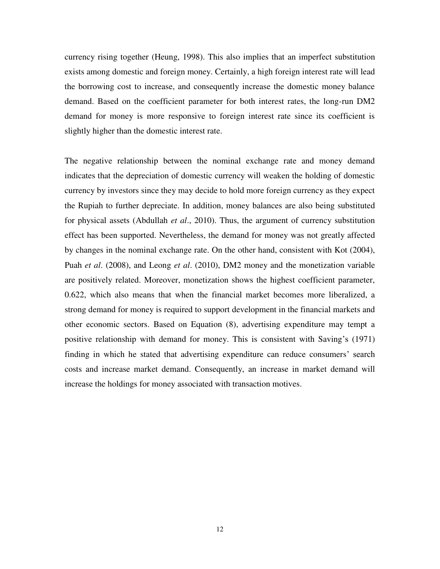currency rising together (Heung, 1998). This also implies that an imperfect substitution exists among domestic and foreign money. Certainly, a high foreign interest rate will lead the borrowing cost to increase, and consequently increase the domestic money balance demand. Based on the coefficient parameter for both interest rates, the long-run DM2 demand for money is more responsive to foreign interest rate since its coefficient is slightly higher than the domestic interest rate.

The negative relationship between the nominal exchange rate and money demand indicates that the depreciation of domestic currency will weaken the holding of domestic currency by investors since they may decide to hold more foreign currency as they expect the Rupiah to further depreciate. In addition, money balances are also being substituted for physical assets (Abdullah *et al*., 2010). Thus, the argument of currency substitution effect has been supported. Nevertheless, the demand for money was not greatly affected by changes in the nominal exchange rate. On the other hand, consistent with Kot (2004), Puah *et al*. (2008), and Leong *et al*. (2010), DM2 money and the monetization variable are positively related. Moreover, monetization shows the highest coefficient parameter, 0.622, which also means that when the financial market becomes more liberalized, a strong demand for money is required to support development in the financial markets and other economic sectors. Based on Equation (8), advertising expenditure may tempt a positive relationship with demand for money. This is consistent with Saving's (1971) finding in which he stated that advertising expenditure can reduce consumers' search costs and increase market demand. Consequently, an increase in market demand will increase the holdings for money associated with transaction motives.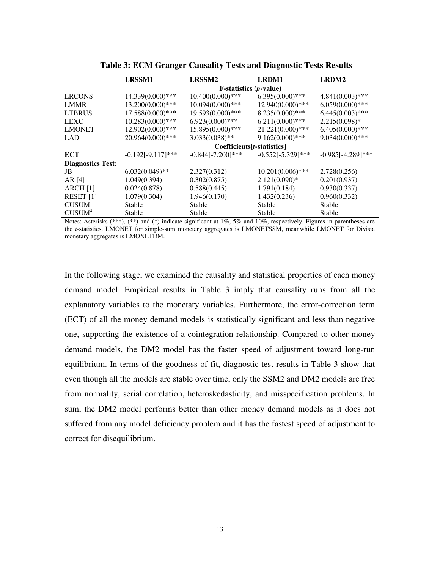|                          | LRSSM1                       | LRSSM2              | LRDM1                | LRDM2                |  |  |
|--------------------------|------------------------------|---------------------|----------------------|----------------------|--|--|
|                          | $F-statistics (p-value)$     |                     |                      |                      |  |  |
| <b>LRCONS</b>            | 14.339(0.000)***             | $10.400(0.000)$ *** | $6.395(0.000)$ ***   | $4.841(0.003)$ ***   |  |  |
| <b>LMMR</b>              | 13.200(0.000)***             | $10.094(0.000)$ *** | 12.940(0.000)***     | $6.059(0.000)$ ***   |  |  |
| <b>LTBRUS</b>            | 17.588(0.000)***             | 19.593(0.000)***    | $8.235(0.000)$ ***   | $6.445(0.003)$ ***   |  |  |
| <b>LEXC</b>              | $10.283(0.000)$ ***          | $6.923(0.000)***$   | $6.211(0.000)$ ***   | $2.215(0.098)*$      |  |  |
| <b>LMONET</b>            | 12.902(0.000)***             | 15.895(0.000)***    | $21.221(0.000)$ ***  | $6.405(0.000)$ ***   |  |  |
| <b>LAD</b>               | 20.964(0.000)***             | $3.033(0.038)$ **   | $9.162(0.000)$ ***   | $9.034(0.000)$ ***   |  |  |
|                          | $Coefficients[t-statistics]$ |                     |                      |                      |  |  |
| ECT                      | $-0.192[-9.117]***$          | $-0.844[-7.200]***$ | $-0.552[-5.329]$ *** | $-0.985[-4.289]$ *** |  |  |
| <b>Diagnostics Test:</b> |                              |                     |                      |                      |  |  |
| JB                       | $6.032(0.049)$ **            | 2.327(0.312)        | $10.201(0.006)$ ***  | 2.728(0.256)         |  |  |
| AR [4]                   | 1.049(0.394)                 | 0.302(0.875)        | $2.121(0.090)*$      | 0.201(0.937)         |  |  |
| $ARCH$ [1]               | 0.024(0.878)                 | 0.588(0.445)        | 1.791(0.184)         | 0.930(0.337)         |  |  |
| RESET <sub>[1]</sub>     | 1.079(0.304)                 | 1.946(0.170)        | 1.432(0.236)         | 0.960(0.332)         |  |  |
| <b>CUSUM</b>             | Stable                       | Stable              | Stable               | Stable               |  |  |
| CUSUM <sup>2</sup>       | Stable                       | Stable              | Stable               | Stable               |  |  |

**Table 3: ECM Granger Causality Tests and Diagnostic Tests Results** 

Notes: Asterisks (\*\*\*), (\*\*) and (\*) indicate significant at 1%, 5% and 10%, respectively. Figures in parentheses are the *t*-statistics. LMONET for simple-sum monetary aggregates is LMONETSSM, meanwhile LMONET for Divisia monetary aggregates is LMONETDM.

In the following stage, we examined the causality and statistical properties of each money demand model. Empirical results in Table 3 imply that causality runs from all the explanatory variables to the monetary variables. Furthermore, the error-correction term (ECT) of all the money demand models is statistically significant and less than negative one, supporting the existence of a cointegration relationship. Compared to other money demand models, the DM2 model has the faster speed of adjustment toward long-run equilibrium. In terms of the goodness of fit, diagnostic test results in Table 3 show that even though all the models are stable over time, only the SSM2 and DM2 models are free from normality, serial correlation, heteroskedasticity, and misspecification problems. In sum, the DM2 model performs better than other money demand models as it does not suffered from any model deficiency problem and it has the fastest speed of adjustment to correct for disequilibrium.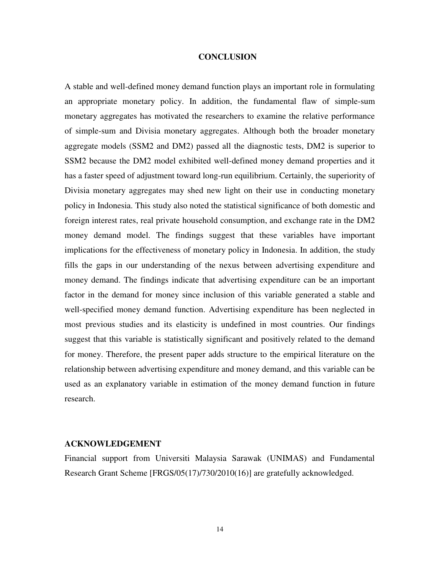#### **CONCLUSION**

A stable and well-defined money demand function plays an important role in formulating an appropriate monetary policy. In addition, the fundamental flaw of simple-sum monetary aggregates has motivated the researchers to examine the relative performance of simple-sum and Divisia monetary aggregates. Although both the broader monetary aggregate models (SSM2 and DM2) passed all the diagnostic tests, DM2 is superior to SSM2 because the DM2 model exhibited well-defined money demand properties and it has a faster speed of adjustment toward long-run equilibrium. Certainly, the superiority of Divisia monetary aggregates may shed new light on their use in conducting monetary policy in Indonesia. This study also noted the statistical significance of both domestic and foreign interest rates, real private household consumption, and exchange rate in the DM2 money demand model. The findings suggest that these variables have important implications for the effectiveness of monetary policy in Indonesia. In addition, the study fills the gaps in our understanding of the nexus between advertising expenditure and money demand. The findings indicate that advertising expenditure can be an important factor in the demand for money since inclusion of this variable generated a stable and well-specified money demand function. Advertising expenditure has been neglected in most previous studies and its elasticity is undefined in most countries. Our findings suggest that this variable is statistically significant and positively related to the demand for money. Therefore, the present paper adds structure to the empirical literature on the relationship between advertising expenditure and money demand, and this variable can be used as an explanatory variable in estimation of the money demand function in future research.

## **ACKNOWLEDGEMENT**

Financial support from Universiti Malaysia Sarawak (UNIMAS) and Fundamental Research Grant Scheme [FRGS/05(17)/730/2010(16)] are gratefully acknowledged.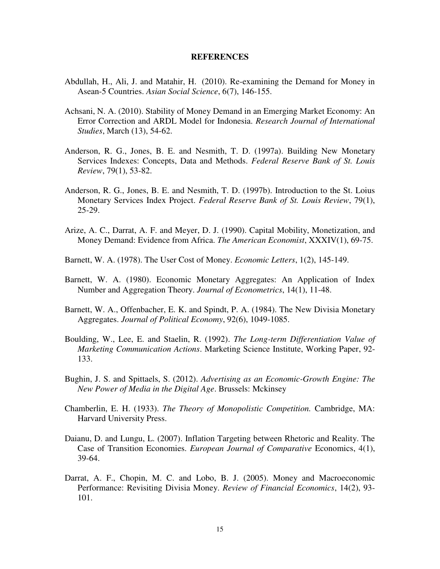#### **REFERENCES**

- Abdullah, H., Ali, J. and Matahir, H. (2010). Re-examining the Demand for Money in Asean-5 Countries. *Asian Social Science*, 6(7), 146-155.
- Achsani, N. A. (2010). Stability of Money Demand in an Emerging Market Economy: An Error Correction and ARDL Model for Indonesia. *Research Journal of International Studies*, March (13), 54-62.
- Anderson, R. G., Jones, B. E. and Nesmith, T. D. (1997a). Building New Monetary Services Indexes: Concepts, Data and Methods. *Federal Reserve Bank of St. Louis Review*, 79(1), 53-82.
- Anderson, R. G., Jones, B. E. and Nesmith, T. D. (1997b). Introduction to the St. Loius Monetary Services Index Project. *Federal Reserve Bank of St. Louis Review*, 79(1), 25-29.
- Arize, A. C., Darrat, A. F. and Meyer, D. J. (1990). Capital Mobility, Monetization, and Money Demand: Evidence from Africa. *The American Economist*, XXXIV(1), 69-75.
- Barnett, W. A. (1978). The User Cost of Money. *Economic Letters*, 1(2), 145-149.
- Barnett, W. A. (1980). Economic Monetary Aggregates: An Application of Index Number and Aggregation Theory. *Journal of Econometrics*, 14(1), 11-48.
- Barnett, W. A., Offenbacher, E. K. and Spindt, P. A. (1984). The New Divisia Monetary Aggregates. *Journal of Political Economy*, 92(6), 1049-1085.
- Boulding, W., Lee, E. and Staelin, R. (1992). *The Long-term Differentiation Value of Marketing Communication Actions*. Marketing Science Institute, Working Paper, 92- 133.
- Bughin, J. S. and Spittaels, S. (2012). *Advertising as an Economic-Growth Engine: The New Power of Media in the Digital Age*. Brussels: Mckinsey
- Chamberlin, E. H. (1933). *The Theory of Monopolistic Competition.* Cambridge, MA: Harvard University Press.
- Daianu, D. and Lungu, L. (2007). Inflation Targeting between Rhetoric and Reality. The Case of Transition Economies. *European Journal of Comparative* Economics, 4(1), 39-64.
- Darrat, A. F., Chopin, M. C. and Lobo, B. J. (2005). Money and Macroeconomic Performance: Revisiting Divisia Money. *Review of Financial Economics*, 14(2), 93- 101.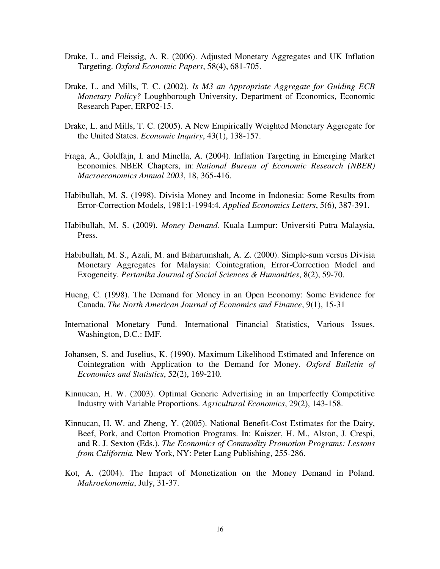- Drake, L. and Fleissig, A. R. (2006). Adjusted Monetary Aggregates and UK Inflation Targeting. *Oxford Economic Papers*, 58(4), 681-705.
- Drake, L. and Mills, T. C. (2002). *Is M3 an Appropriate Aggregate for Guiding ECB Monetary Policy?* Loughborough University, Department of Economics, Economic Research Paper, ERP02-15.
- Drake, L. and Mills, T. C. (2005). A New Empirically Weighted Monetary Aggregate for the United States. *Economic Inquiry*, 43(1), 138-157.
- Fraga, A., Goldfajn, I. and Minella, A. (2004). Inflation Targeting in Emerging Market Economies. NBER Chapters, in: *National Bureau of Economic Research (NBER) Macroeconomics Annual 2003*, 18, 365-416.
- Habibullah, M. S. (1998). Divisia Money and Income in Indonesia: Some Results from Error-Correction Models, 1981:1-1994:4. *Applied Economics Letters*, 5(6), 387-391.
- Habibullah, M. S. (2009). *Money Demand.* Kuala Lumpur: Universiti Putra Malaysia, Press.
- Habibullah, M. S., Azali, M. and Baharumshah, A. Z. (2000). Simple-sum versus Divisia Monetary Aggregates for Malaysia: Cointegration, Error-Correction Model and Exogeneity. *Pertanika Journal of Social Sciences & Humanities*, 8(2), 59-70.
- Hueng, C. (1998). The Demand for Money in an Open Economy: Some Evidence for Canada. *The North American Journal of Economics and Finance*, 9(1), 15-31
- International Monetary Fund. International Financial Statistics, Various Issues. Washington, D.C.: IMF.
- Johansen, S. and Juselius, K. (1990). Maximum Likelihood Estimated and Inference on Cointegration with Application to the Demand for Money. *Oxford Bulletin of Economics and Statistics*, 52(2), 169-210.
- Kinnucan, H. W. (2003). Optimal Generic Advertising in an Imperfectly Competitive Industry with Variable Proportions. *Agricultural Economics*, 29(2), 143-158.
- Kinnucan, H. W. and Zheng, Y. (2005). National Benefit-Cost Estimates for the Dairy, Beef, Pork, and Cotton Promotion Programs. In: Kaiszer, H. M., Alston, J. Crespi, and R. J. Sexton (Eds.). *The Economics of Commodity Promotion Programs: Lessons from California.* New York, NY: Peter Lang Publishing, 255-286.
- Kot, A. (2004). The Impact of Monetization on the Money Demand in Poland. *Makroekonomia*, July, 31-37.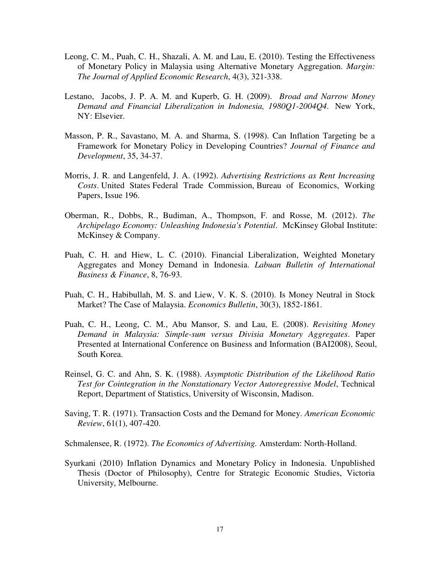- Leong, C. M., Puah, C. H., Shazali, A. M. and Lau, E. (2010). Testing the Effectiveness of Monetary Policy in Malaysia using Alternative Monetary Aggregation. *Margin: The Journal of Applied Economic Research*, 4(3), 321-338.
- Lestano, Jacobs, J. P. A. M. and Kuperb, G. H. (2009). *Broad and Narrow Money Demand and Financial Liberalization in Indonesia, 1980Q1-2004Q4*. New York, NY: Elsevier.
- Masson, P. R., Savastano, M. A. and Sharma, S. (1998). Can Inflation Targeting be a Framework for Monetary Policy in Developing Countries? *Journal of Finance and Development*, 35, 34-37.
- Morris, J. R. and Langenfeld, J. A. (1992). *Advertising Restrictions as Rent Increasing Costs*. United States Federal Trade Commission, Bureau of Economics, Working Papers, Issue 196.
- Oberman, R., Dobbs, R., Budiman, A., Thompson, F. and Rosse, M. (2012). *The Archipelago Economy: Unleashing Indonesia's Potential*. McKinsey Global Institute: McKinsey & Company.
- Puah, C. H. and Hiew, L. C. (2010). Financial Liberalization, Weighted Monetary Aggregates and Money Demand in Indonesia. *Labuan Bulletin of International Business & Finance*, 8, 76-93.
- Puah, C. H., Habibullah, M. S. and Liew, V. K. S. (2010). Is Money Neutral in Stock Market? The Case of Malaysia. *Economics Bulletin*, 30(3), 1852-1861.
- Puah, C. H., Leong, C. M., Abu Mansor, S. and Lau, E. (2008). *Revisiting Money Demand in Malaysia: Simple-sum versus Divisia Monetary Aggregates*. Paper Presented at International Conference on Business and Information (BAI2008), Seoul, South Korea.
- Reinsel, G. C. and Ahn, S. K. (1988). *Asymptotic Distribution of the Likelihood Ratio Test for Cointegration in the Nonstationary Vector Autoregressive Model*, Technical Report, Department of Statistics, University of Wisconsin, Madison.
- Saving, T. R. (1971). Transaction Costs and the Demand for Money. *American Economic Review*, 61(1), 407-420.

Schmalensee, R. (1972). *The Economics of Advertising.* Amsterdam: North-Holland.

Syurkani (2010) Inflation Dynamics and Monetary Policy in Indonesia. Unpublished Thesis (Doctor of Philosophy), Centre for Strategic Economic Studies, Victoria University, Melbourne.